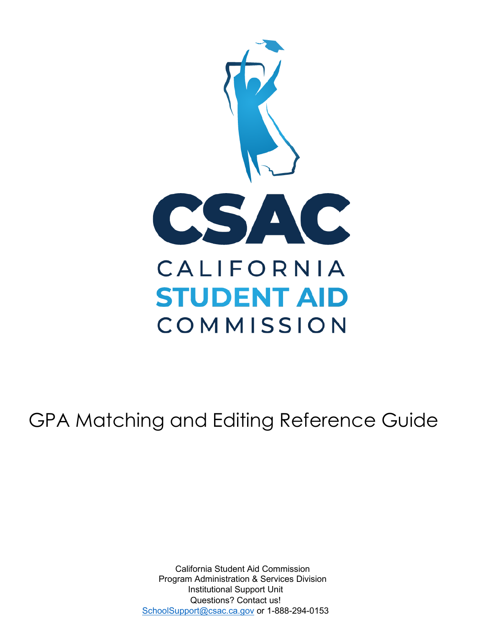

# GPA Matching and Editing Reference Guide

California Student Aid Commission Program Administration & Services Division Institutional Support Unit Questions? Contact us! [SchoolSupport@csac.ca.gov](mailto:SchoolSupport@csac.ca.gov) or 1-888-294-0153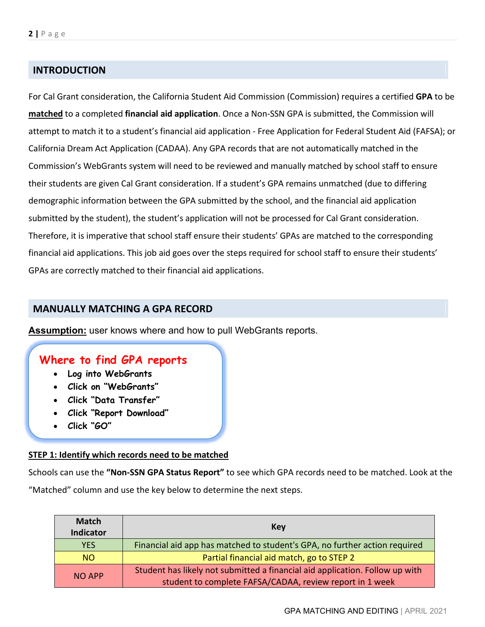# **INTRODUCTION**

 attempt to match it to a student's financial aid application - Free Application for Federal Student Aid (FAFSA); or California Dream Act Application (CADAA). Any GPA records that are not automatically matched in the Commission's WebGrants system will need to be reviewed and manually matched by school staff to ensure their students are given Cal Grant consideration. If a student's GPA remains unmatched (due to differing financial aid applications. This job aid goes over the steps required for school staff to ensure their students' GPAs are correctly matched to their financial aid applications. For Cal Grant consideration, the California Student Aid Commission (Commission) requires a certified **GPA** to be **matched** to a completed **financial aid application**. Once a Non-SSN GPA is submitted, the Commission will demographic information between the GPA submitted by the school, and the financial aid application submitted by the student), the student's application will not be processed for Cal Grant consideration. Therefore, it is imperative that school staff ensure their students' GPAs are matched to the corresponding

## **MANUALLY MATCHING A GPA RECORD**

**Assumption:** user knows where and how to pull WebGrants reports.

# **Where to find GPA reports**

- **Log into WebGrants**
- **Click on "WebGrants"**
- **Click "Data Transfer"**
- **Click "Report Download"**
- **Click "GO"**

#### **STEP 1: Identify which records need to be matched**

 Schools can use the **"Non-SSN GPA Status Report"** to see which GPA records need to be matched. Look at the "Matched" column and use the key below to determine the next steps.

| <b>Match</b><br><b>Indicator</b> | Key                                                                                                                                      |
|----------------------------------|------------------------------------------------------------------------------------------------------------------------------------------|
| <b>YES</b>                       | Financial aid app has matched to student's GPA, no further action required                                                               |
| NO <sub>1</sub>                  | Partial financial aid match, go to STEP 2                                                                                                |
| <b>NO APP</b>                    | Student has likely not submitted a financial aid application. Follow up with<br>student to complete FAFSA/CADAA, review report in 1 week |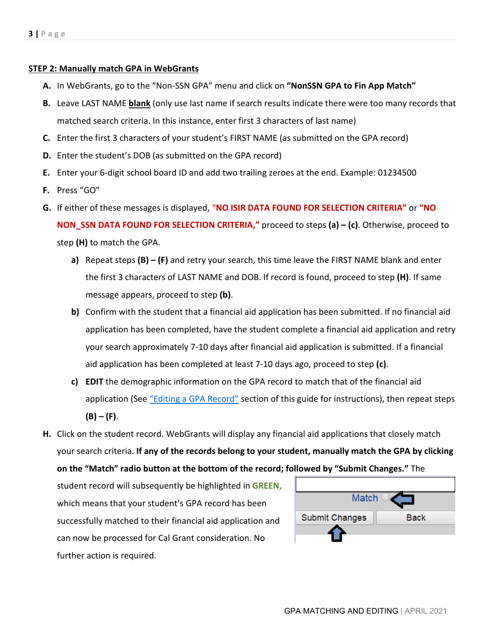#### <span id="page-2-0"></span>**STEP 2: Manually match GPA in WebGrants**

- **A.** In WebGrants, go to the "Non-SSN GPA" menu and click on **"NonSSN GPA to Fin App Match"**
- **B.** Leave LAST NAME **blank** (only use last name if search results indicate there were too many records that matched search criteria. In this instance, enter first 3 characters of last name)
- **C.** Enter the first 3 characters of your student's FIRST NAME (as submitted on the GPA record)
- **D.** Enter the student's DOB (as submitted on the GPA record)
- **E.** Enter your 6-digit school board ID and add two trailing zeroes at the end. Example: 01234500
- **F.** Press "GO"
- <span id="page-2-1"></span> **G.** If either of these messages is displayed, "**NO ISIR DATA FOUND FOR SELECTION CRITERIA"** or **"NO NON\_SSN DATA FOUND FOR SELECTION CRITERIA,"** proceed to steps **(a) – (c)**. Otherwise, proceed to step **(H)** to match the GPA.
	- message appears, proceed to step **(b)**. **a)** Repeat steps **(B) – (F)** and retry your search, this time leave the FIRST NAME blank and enter the first 3 characters of LAST NAME and DOB. If record is found, proceed to step **(H)**. If same
	- aid application has been completed at least 7-10 days ago, proceed to step **(c)**. **b)** Confirm with the student that a financial aid application has been submitted. If no financial aid application has been completed, have the student complete a financial aid application and retry your search approximately 7-10 days after financial aid application is submitted. If a financial
	- **c) EDIT** the demographic information on the GPA record to match that of the financial aid  **(B) – (F)**. application (See ["Editing a GPA Record"](#page-3-0) section of this guide for instructions), then repeat steps
- your search criteria. **If any of the records belong to your student, manually match the GPA by clicking H.** Click on the student record. WebGrants will display any financial aid applications that closely match **on the "Match" radio button at the bottom of the record; followed by "Submit Changes."** The

 student record will subsequently be highlighted in **GREEN,** which means that your student's GPA record has been successfully matched to their financial aid application and can now be processed for Cal Grant consideration. No further action is required.

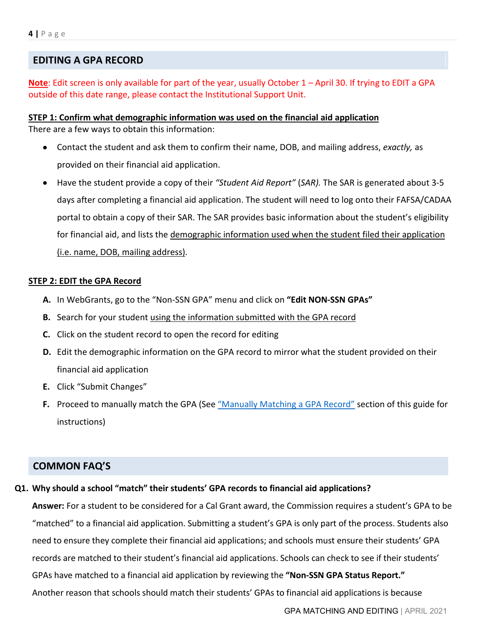## <span id="page-3-0"></span>**EDITING A GPA RECORD**

 **Note**: Edit screen is only available for part of the year, usually October 1 – April 30. If trying to EDIT a GPA outside of this date range, please contact the Institutional Support Unit.

 There are a few ways to obtain this information: **STEP 1: Confirm what demographic information was used on the financial aid application** 

- • Contact the student and ask them to confirm their name, DOB, and mailing address, *exactly,* as provided on their financial aid application.
- Have the student provide a copy of their *"Student Aid Report"* (*SAR).* The SAR is generated about 3-5 for financial aid, and lists the demographic information used when the student filed their application (i.e. name, DOB, mailing address). days after completing a financial aid application. The student will need to log onto their FAFSA/CADAA portal to obtain a copy of their SAR. The SAR provides basic information about the student's eligibility

#### **STEP 2: EDIT the GPA Record**

- **A.** In WebGrants, go to the "Non-SSN GPA" menu and click on **"Edit NON-SSN GPAs"**
- **B.** Search for your student using the information submitted with the GPA record
- **C.** Click on the student record to open the record for editing
- financial aid application **D.** Edit the demographic information on the GPA record to mirror what the student provided on their
- **E.** Click "Submit Changes"
- **F.** Proceed to manually match the GPA (See <u>"Manually Matching a GPA Record"</u> section of this guide for instructions)

### **COMMON FAQ'S**

#### **Q1. Why should a school "match" their students' GPA records to financial aid applications?**

 **Answer:** For a student to be considered for a Cal Grant award, the Commission requires a student's GPA to be records are matched to their student's financial aid applications. Schools can check to see if their students' GPAs have matched to a financial aid application by reviewing the **"Non-SSN GPA Status Report."**  Another reason that schools should match their students' GPAs to financial aid applications is because "matched" to a financial aid application. Submitting a student's GPA is only part of the process. Students also need to ensure they complete their financial aid applications; and schools must ensure their students' GPA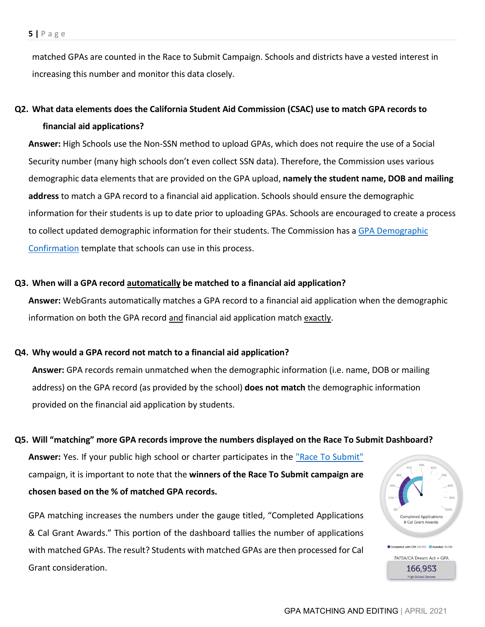matched GPAs are counted in the Race to Submit Campaign. Schools and districts have a vested interest in increasing this number and monitor this data closely.

# **Q2. What data elements does the California Student Aid Commission (CSAC) use to match GPA records to financial aid applications?**

 Security number (many high schools don't even collect SSN data). Therefore, the Commission uses various  demographic data elements that are provided on the GPA upload, **namely the student name, DOB and mailing address** to match a GPA record to a financial aid application. Schools should ensure the demographic **Answer:** High Schools use the Non-SSN method to upload GPAs, which does not require the use of a Social information for their students is up to date prior to uploading GPAs. Schools are encouraged to create a process to collect updated demographic information for their students. The Commission has a GPA Demographic [Confirmation](https://www.csac.ca.gov/sites/main/files/file-attachments/g-28_2019_cal_grant_gpa_demographic_verif.pdf) template that schools can use in this process.

#### **Q3. When will a GPA record automatically be matched to a financial aid application?**

**Answer:** WebGrants automatically matches a GPA record to a financial aid application when the demographic information on both the GPA record and financial aid application match exactly.

#### **Q4. Why would a GPA record not match to a financial aid application?**

 **Answer:** GPA records remain unmatched when the demographic information (i.e. name, DOB or mailing address) on the GPA record (as provided by the school) **does not match** the demographic information provided on the financial aid application by students.

#### **Q5. Will "matching" more GPA records improve the numbers displayed on the Race To Submit Dashboard?**

 campaign, it is important to note that the **winners of the Race To Submit campaign are chosen based on the % of matched GPA records.**  Answer: Yes. If your public high school or charter participates in the "Race To Submit"

 & Cal Grant Awards." This portion of the dashboard tallies the number of applications GPA matching increases the numbers under the gauge titled, "Completed Applications with matched GPAs. The result? Students with matched GPAs are then processed for Cal Grant consideration.

 $\left| \begin{array}{cc} 1 & 60\% \end{array} \right|$  $\frac{70\%}{2\%}$ 

Completed Application & Cal Grant Awards

with GPA 166.953 **Awarded**: 86.288 FAFSA/CA Dream Act + GPA 166,953 High School Seniors